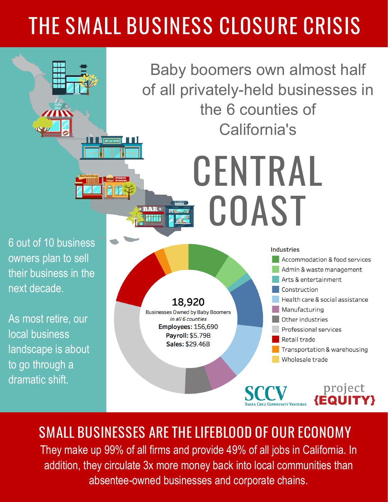## THE SMALL BUSINESS CLOSURE CRISIS

Baby boomers own almost half of all privately-held businesses in the 6 counties of California's

CENTRAL

6 out of 10 business owners plan to sell their business in the next decade.

**TENTS TEX CUTS** 

As most retire, our local business landscape is about to go through a dramatic shift.



SMALL BUSINESSES ARE THE LIFEBLOOD OF OUR ECONOMY They make up 99% of all firms and provide 49% of all jobs in California. In addition, they circulate 3x more money back into local communities than absentee-owned businesses and corporate chains.